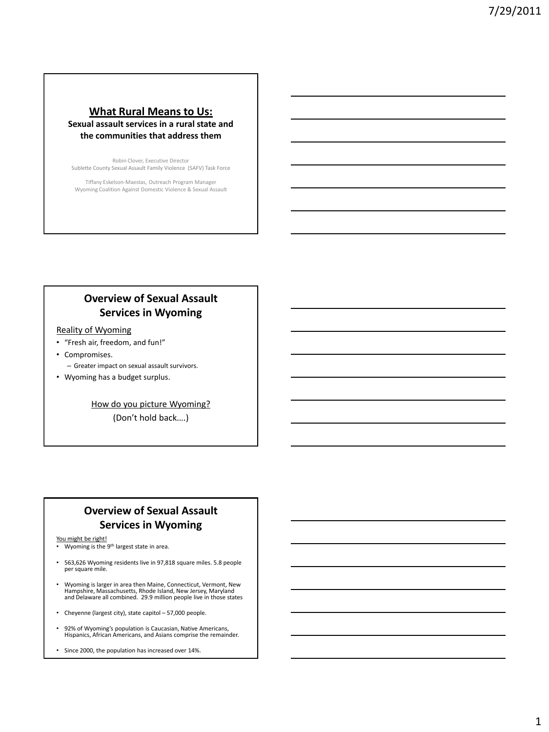## **What Rural Means to Us: Sexual assault services in a rural state and the communities that address them**

Robin Clover, Executive Director Sublette County Sexual Assault Family Violence (SAFV) Task Force

Tiffany Eskelson-Maestas, Outreach Program Manager Wyoming Coalition Against Domestic Violence & Sexual Assault

# **Overview of Sexual Assault Services in Wyoming**

## Reality of Wyoming

- "Fresh air, freedom, and fun!"
- Compromises. – Greater impact on sexual assault survivors.
- Wyoming has a budget surplus.

How do you picture Wyoming?

(Don't hold back….)

# **Overview of Sexual Assault Services in Wyoming**

You might be right!

- Wyoming is the 9<sup>th</sup> largest state in area.
- 563,626 Wyoming residents live in 97,818 square miles. 5.8 people per square mile.
- Wyoming is larger in area then Maine, Connecticut, Vermont, New Hampshire, Massachusetts, Rhode Island, New Jersey, Maryland and Delaware all combined. 29.9 million people live in those states
- Cheyenne (largest city), state capitol 57,000 people.
- 92% of Wyoming's population is Caucasian, Native Americans, Hispanics, African Americans, and Asians comprise the remainder.
- Since 2000, the population has increased over 14%.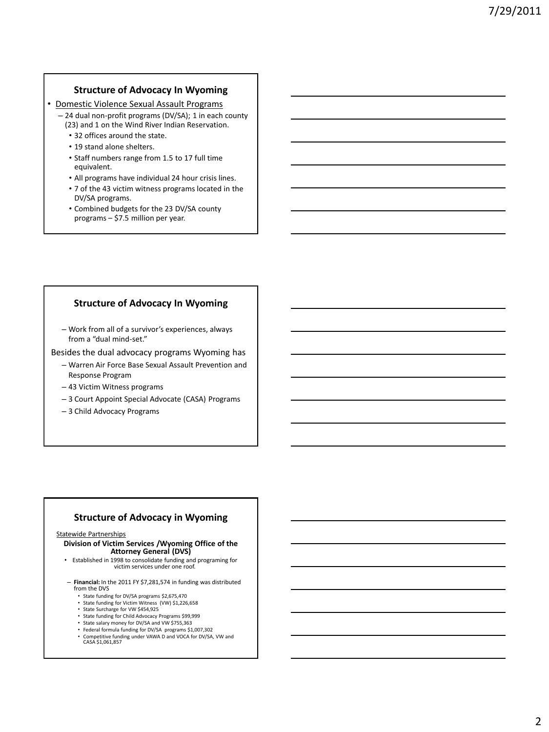## **Structure of Advocacy In Wyoming**

- Domestic Violence Sexual Assault Programs
	- 24 dual non-profit programs (DV/SA); 1 in each county (23) and 1 on the Wind River Indian Reservation.
		- 32 offices around the state.
		- 19 stand alone shelters.
		- Staff numbers range from 1.5 to 17 full time equivalent.
		- All programs have individual 24 hour crisis lines.
		- 7 of the 43 victim witness programs located in the DV/SA programs.
		- Combined budgets for the 23 DV/SA county programs – \$7.5 million per year.

## **Structure of Advocacy In Wyoming**

– Work from all of a survivor's experiences, always from a "dual mind-set."

Besides the dual advocacy programs Wyoming has

- Warren Air Force Base Sexual Assault Prevention and Response Program
- 43 Victim Witness programs
- 3 Court Appoint Special Advocate (CASA) Programs
- 3 Child Advocacy Programs

### **Structure of Advocacy in Wyoming**

#### Statewide Partnerships

**Division of Victim Services /Wyoming Office of the Attorney General (DVS)**

- Established in 1998 to consolidate funding and programing for victim services under one roof.
- **Financial:** In the 2011 FY \$7,281,574 in funding was distributed from the DVS
	- State funding for DV/SA programs \$2,675,470
	- State funding for Victim Witness (VW) \$1,226,658
	- State Surcharge for VW \$454,925
	- State funding for Child Advocacy Programs \$99,999 • State salary money for DV/SA and VW \$755,363
	- Federal formula funding for DV/SA programs \$1,007,302
	- Competitive funding under VAWA D and VOCA for DV/SA, VW and CASA \$1,061,857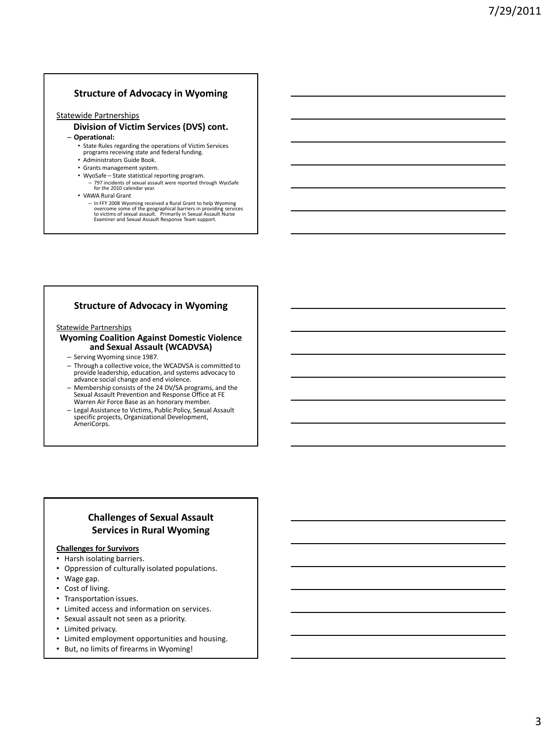## **Structure of Advocacy in Wyoming**

#### Statewide Partnerships

#### **Division of Victim Services (DVS) cont.** – **Operational:**

- State Rules regarding the operations of Victim Services programs receiving state and federal funding.
- 
- Administrators Guide Book.
- Grants management system.
- WyoSafe State statistical reporting program.
	- 797 incidents of sexual assault were reported through WyoSafe for the 2010 calendar year.
- VAWA Rural Grant
	- In FFY 2008 Wyoming received a Rural Grant to help Wyoming<br>overcome some of the geographical barriers in providing services<br>to victims of sexual assault. Primarily in Sexual Assault Nurse<br>Examiner and Sexual Assault Resp

## **Structure of Advocacy in Wyoming**

#### Statewide Partnerships

#### **Wyoming Coalition Against Domestic Violence and Sexual Assault (WCADVSA)**

- Serving Wyoming since 1987.
- Through a collective voice, the WCADVSA is committed to provide leadership, education, and systems advocacy to advance social change and end violence.
- Membership consists of the 24 DV/SA programs, and the Sexual Assault Prevention and Response Office at FE Warren Air Force Base as an honorary member.
- Legal Assistance to Victims, Public Policy, Sexual Assault specific projects, Organizational Development, AmeriCorps.

# **Challenges of Sexual Assault Services in Rural Wyoming**

#### **Challenges for Survivors**

- Harsh isolating barriers.
- Oppression of culturally isolated populations.
- Wage gap.
- Cost of living.
- Transportation issues.
- Limited access and information on services.
- Sexual assault not seen as a priority.
- Limited privacy.
- Limited employment opportunities and housing.
- But, no limits of firearms in Wyoming!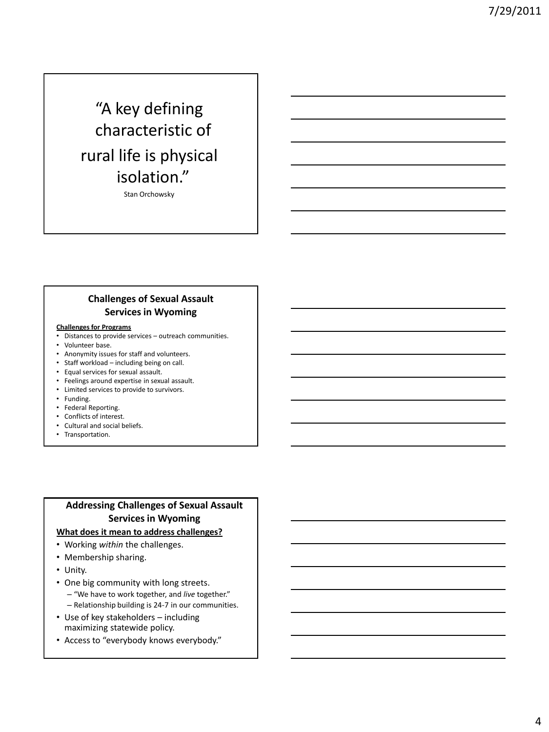# "A key defining characteristic of rural life is physical isolation."

Stan Orchowsky

# **Challenges of Sexual Assault Services in Wyoming**

#### **Challenges for Programs**

- Distances to provide services outreach communities.
- Volunteer base.
- Anonymity issues for staff and volunteers.
- Staff workload including being on call.
- Equal services for sexual assault.
- Feelings around expertise in sexual assault.
- Limited services to provide to survivors.
- Funding.
- Federal Reporting.
- Conflicts of interest.
- Cultural and social beliefs.
- Transportation.

# **Addressing Challenges of Sexual Assault Services in Wyoming**

## **What does it mean to address challenges?**

- Working *within* the challenges.
- Membership sharing.
- Unity.
- One big community with long streets.
	- "We have to work together, and *live* together."
	- Relationship building is 24-7 in our communities.
- Use of key stakeholders including maximizing statewide policy.
- Access to "everybody knows everybody."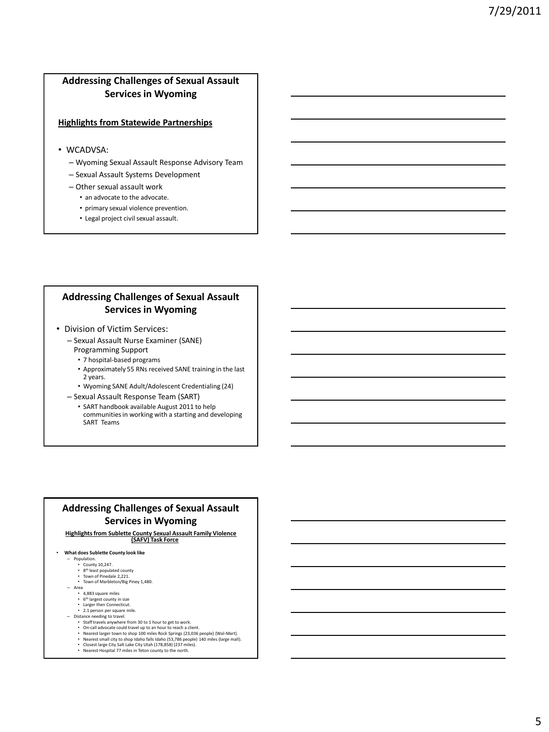# **Addressing Challenges of Sexual Assault Services in Wyoming**

#### **Highlights from Statewide Partnerships**

- WCADVSA:
	- Wyoming Sexual Assault Response Advisory Team
	- Sexual Assault Systems Development
	- Other sexual assault work
		- an advocate to the advocate.
		- primary sexual violence prevention.
		- Legal project civil sexual assault.

## **Addressing Challenges of Sexual Assault Services in Wyoming**

- Division of Victim Services:
	- Sexual Assault Nurse Examiner (SANE) Programming Support
		- 7 hospital-based programs
		- Approximately 55 RNs received SANE training in the last 2 years.
		- Wyoming SANE Adult/Adolescent Credentialing (24)
	- Sexual Assault Response Team (SART)
		- SART handbook available August 2011 to help communities in working with a starting and developing SART Teams

## **Addressing Challenges of Sexual Assault Services in Wyoming**

# **Highlights from Sublette County Sexual Assault Family Violence (SAFV) Task Force**

- **What does Sublette County look like**
	- Population.
		-
	-
	- County 10,247.<br>• 8<sup>th</sup> least populated county<br>• Town of Pinedale 2,221.<br>• Town of Marbleton/Big Piney 1,480.
	-
	- Area 4,883 square miles
		- 6 th largest county in size Larger then Connecticut.
		- 2.1 person per square mile.
	- Distance needing to travel.
		- Staff travels anywhere from 30 to 1 hour to get to work.
		-
		- On-call advocate could travel up to an hour to reach a client.<br>• Nearest larger town to shop 100 miles Rock Springs (23,036 people) (Wal-Mart).<br>• Nearest small city to shop Idaho falls Idaho (53,786 people) 140 miles (la
		-
		- Nearest small city to shop Idaho falls Idaho (53,780 peop<br>• Closest large City Salt Lake City Utah (178,858) (237 mile<br>• Nearest Hospital 77 miles in Teton county to the north.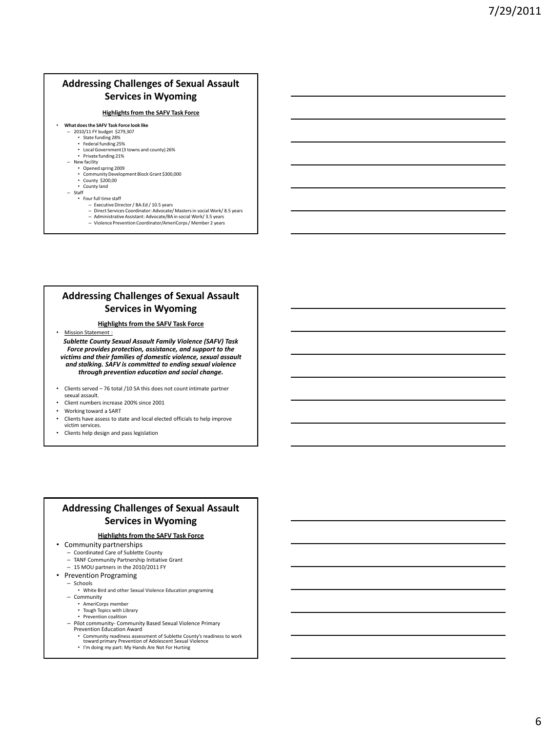# **Addressing Challenges of Sexual Assault Services in Wyoming**

#### **Highlights from the SAFV Task Force**

#### • **What does the SAFV Task Force look like** – 2010/11 FY budget \$279,307

- 
- State funding 28% Federal funding 25%
- Local Government (3 towns and county) 26% • Private funding 21%
- New facility
	- Opened spring 2009
	- Community Development Block Grant \$300,000
	- County \$200,00 • County land
- Staff
	- Four full time staff
		- Executive Director / BA.Ed / 10.5 years
		- Direct Services Coordinator: Advocate/ Masters in social Work/ 8.5 years
		- Administrative Assistant: Advocate/BA in social Work/ 3.5 years – Violence Prevention Coordinator/AmeriCorps / Member 2 years

## **Addressing Challenges of Sexual Assault Services in Wyoming**

#### **Highlights from the SAFV Task Force**

• Mission Statement :

*Sublette County Sexual Assault Family Violence (SAFV) Task Force provides protection, assistance, and support to the victims and their families of domestic violence, sexual assault and stalking. SAFV is committed to ending sexual violence through prevention education and social change.*

- Clients served 76 total /10 SA this does not count intimate partner sexual assault.
- Client numbers increase 200% since 2001
- Working toward a SART
- Clients have assess to state and local elected officials to help improve victim services.
- Clients help design and pass legislation

## **Addressing Challenges of Sexual Assault Services in Wyoming**

### **Highlights from the SAFV Task Force**

- Community partnerships
	- Coordinated Care of Sublette County
	- TANF Community Partnership Initiative Grant
	- 15 MOU partners in the 2010/2011 FY
- Prevention Programing
	- Schools
		- White Bird and other Sexual Violence Education programing
	- Community
		- AmeriCorps member
		- Tough Topics with Library • Prevention coalition
	- Pilot community- Community Based Sexual Violence Primary
	- Prevention Education Award
		- Community readiness assessment of Sublette County's readiness to work toward primary Prevention of Adolescent Sexual Violence
		- I'm doing my part: My Hands Are Not For Hurting